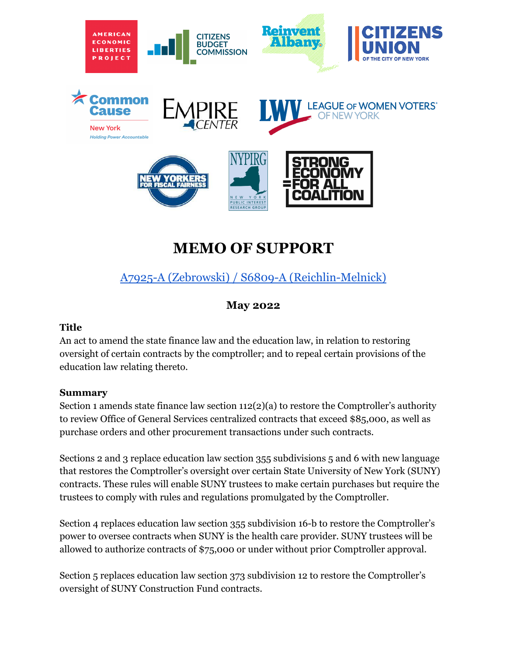

# **MEMO OF SUPPORT**

## A7925-A (Zebrowski) / S6809-A [\(Reichlin-Melnick\)](https://nyassembly.gov/leg/?default_fld=&leg_video=&bn=A07925&term=&Summary=Y&Actions=Y&Memo=Y&Text=Y)

### **May 2022**

#### **Title**

An act to amend the state finance law and the education law, in relation to restoring oversight of certain contracts by the comptroller; and to repeal certain provisions of the education law relating thereto.

#### **Summary**

Section 1 amends state finance law section 112(2)(a) to restore the Comptroller's authority to review Office of General Services centralized contracts that exceed \$85,000, as well as purchase orders and other procurement transactions under such contracts.

Sections 2 and 3 replace education law section 355 subdivisions 5 and 6 with new language that restores the Comptroller's oversight over certain State University of New York (SUNY) contracts. These rules will enable SUNY trustees to make certain purchases but require the trustees to comply with rules and regulations promulgated by the Comptroller.

Section 4 replaces education law section 355 subdivision 16-b to restore the Comptroller's power to oversee contracts when SUNY is the health care provider. SUNY trustees will be allowed to authorize contracts of \$75,000 or under without prior Comptroller approval.

Section 5 replaces education law section 373 subdivision 12 to restore the Comptroller's oversight of SUNY Construction Fund contracts.